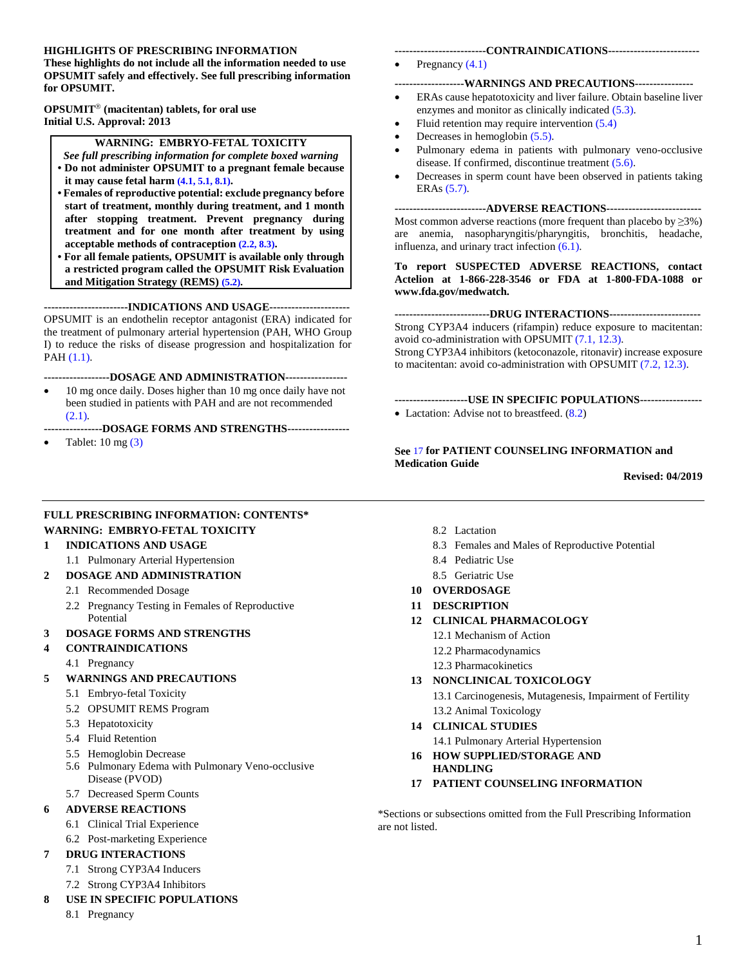#### **HIGHLIGHTS OF PRESCRIBING INFORMATION**

**These highlights do not include all the information needed to use OPSUMIT safely and effectively. See full prescribing information for OPSUMIT.** 

**OPSUMIT (macitentan) tablets, for oral use Initial U.S. Approval: 2013**

#### **WARNING: EMBRYO-FETAL TOXICITY**

- <span id="page-0-0"></span>*See full prescribing information for complete boxed warning* **• Do not administer OPSUMIT to a pregnant female because it may cause fetal harm [\(4.1,](#page-2-6) [5.1,](#page-2-7) [8.1\)](#page-6-2).**
- **Females of reproductive potential: exclude pregnancy before start of treatment, monthly during treatment, and 1 month after stopping treatment. Prevent pregnancy during treatment and for one month after treatment by using acceptable methods of contraception [\(2.2,](#page-1-6) [8.3\)](#page-6-3).**
- **For all female patients, OPSUMIT is available only through a restricted program called the OPSUMIT Risk Evaluation and Mitigation Strategy (REMS) [\(5.2\)](#page-2-8).**

**-----------------------INDICATIONS AND USAGE----------------------**  OPSUMIT is an endothelin receptor antagonist (ERA) indicated for the treatment of pulmonary arterial hypertension (PAH, WHO Group I) to reduce the risks of disease progression and hospitalization for PAH [\(1.1\).](#page-1-7)

#### **------------------DOSAGE AND ADMINISTRATION-----------------**

- 10 mg once daily. Doses higher than 10 mg once daily have not been studied in patients with PAH and are not recommended [\(2.1\)](#page-1-8).
- **----------------DOSAGE FORMS AND STRENGTHS-----------------**
- Tablet: 10 mg [\(3\)](#page-2-9)

#### **-------------------------CONTRAINDICATIONS-------------------------**

Pregnancy [\(4.1\)](#page-2-10)

#### **-------------------WARNINGS AND PRECAUTIONS----------------**

- ERAs cause hepatotoxicity and liver failure. Obtain baseline liver enzymes and monitor as clinically indicated [\(5.3\)](#page-3-1).
- Fluid retention may require intervention [\(5.4\)](#page-3-2)
- Decreases in hemoglobin [\(5.5\)](#page-3-3).
- Pulmonary edema in patients with pulmonary veno-occlusive disease. If confirmed, discontinue treatment [\(5.6\)](#page-4-5).
- Decreases in sperm count have been observed in patients taking ERAs [\(5.7\).](#page-4-6)

**-------------------------ADVERSE REACTIONS--------------------------**  Most common adverse reactions (more frequent than placebo by  $\geq 3\%$ ) are anemia, nasopharyngitis/pharyngitis, bronchitis, headache, influenza, and urinary tract infection [\(6.1\).](#page-4-7)

**To report SUSPECTED ADVERSE REACTIONS, contact Actelion at 1-866-228-3546 or FDA at 1-800-FDA-1088 or www.fda.gov/medwatch.**

**--------------------------DRUG INTERACTIONS-------------------------**  Strong CYP3A4 inducers (rifampin) reduce exposure to macitentan:

avoid co-administration with OPSUMIT [\(7.1,](#page-5-5) [12.3\)](#page-8-4).

Strong CYP3A4 inhibitors (ketoconazole, ritonavir) increase exposure to macitentan: avoid co-administration with OPSUMIT [\(7.2,](#page-5-6) [12.3\).](#page-8-4)

- **--------------------USE IN SPECIFIC POPULATIONS-----------------**
- Lactation: Advise not to breastfeed.  $(8.2)$

#### **See** [17](#page-17-0) **for PATIENT COUNSELING INFORMATION and Medication Guide**

**Revised: 04/2019**

#### **FULL PRESCRIBING INFORMATION: CONTENTS\* [WARNING: EMBRYO-FETAL TOXICITY](#page-0-0)**

#### **[1 INDICATIONS AND USAGE](#page-1-0)**

- [1.1 Pulmonary Arterial Hypertension](#page-1-1)
- **[2 DOSAGE AND ADMINISTRATION](#page-1-2)**
	- 2.1 [Recommended Dosage](#page-1-3)
	- 2.2 [Pregnancy Testing in Females of Reproductive](#page-1-4)  [Potential](#page-1-4)
- **[3 DOSAGE FORMS AND STRENGTHS](#page-1-5)**

#### **[4 CONTRAINDICATIONS](#page-2-0)**

- 4.1 [Pregnancy](#page-2-1)
- **[5 WARNINGS AND PRECAUTIONS](#page-2-2)**
	- 5.1 [Embryo-fetal Toxicity](#page-2-3)
	- 5.2 [OPSUMIT REMS Program](#page-2-4)
	- 5.3 [Hepatotoxicity](#page-2-5)
	- 5.4 [Fluid Retention](#page-3-0)
	- [5.5](#page-3-0) Hemoglobin Decrease
	- 5.6 [Pulmonary Edema with Pulmonary Veno-occlusive](#page-4-0)  [Disease \(PVOD\)](#page-4-0)
	- 5.7 [Decreased Sperm Counts](#page-4-1)

#### **[6 ADVERSE REACTIONS](#page-4-2)**

- 6.1 [Clinical Trial Experience](#page-4-3)
- 6.2 [Post-marketing Experience](#page-4-4)

#### **[7 DRUG INTERACTIONS](#page-5-0)**

- 7.1 [Strong CYP3A4 Inducers](#page-5-1)
- 7.2 [Strong CYP3A4 Inhibitors](#page-5-2)

#### **[8 USE IN SPECIFIC POPULATIONS](#page-5-3)**

8.1 [Pregnancy](#page-5-4)

- [8.2 Lactation](#page-6-0)
- 8.3 [Females and Males of Reproductive Potential](#page-6-1)
- 8.4 [Pediatric Use](#page-7-0)
- 8.5 [Geriatric Use](#page-7-1)
- **10 [OVERDOSAGE](#page-7-2)**
- **11 [DESCRIPTION](#page-7-3)**
- **12 [CLINICAL PHARMACOLOGY](#page-8-0)**
	- 12.1 [Mechanism of Action](#page-8-1)
	- 12.2 [Pharmacodynamics](#page-8-2)
	- 12.3 [Pharmacokinetics](#page-8-3)
- **13 [NONCLINICAL TOXICOLOGY](#page-10-0)**

13.1 [Carcinogenesis, Mutagenesis, Impairment of Fertility](#page-10-1) 13.2 [Animal Toxicology](#page-11-0)

- **14 [CLINICAL STUDIES](#page-11-1)**
	- 14.1 [Pulmonary Arterial Hypertension](#page-11-2)
- **16 [HOW SUPPLIED/STORAGE](#page-16-0) AND [HANDLING](#page-16-0)**
- **17 [PATIENT COUNSELING INFORMATION](#page-16-1)**

\*Sections or subsections omitted from the Full Prescribing Information are not listed.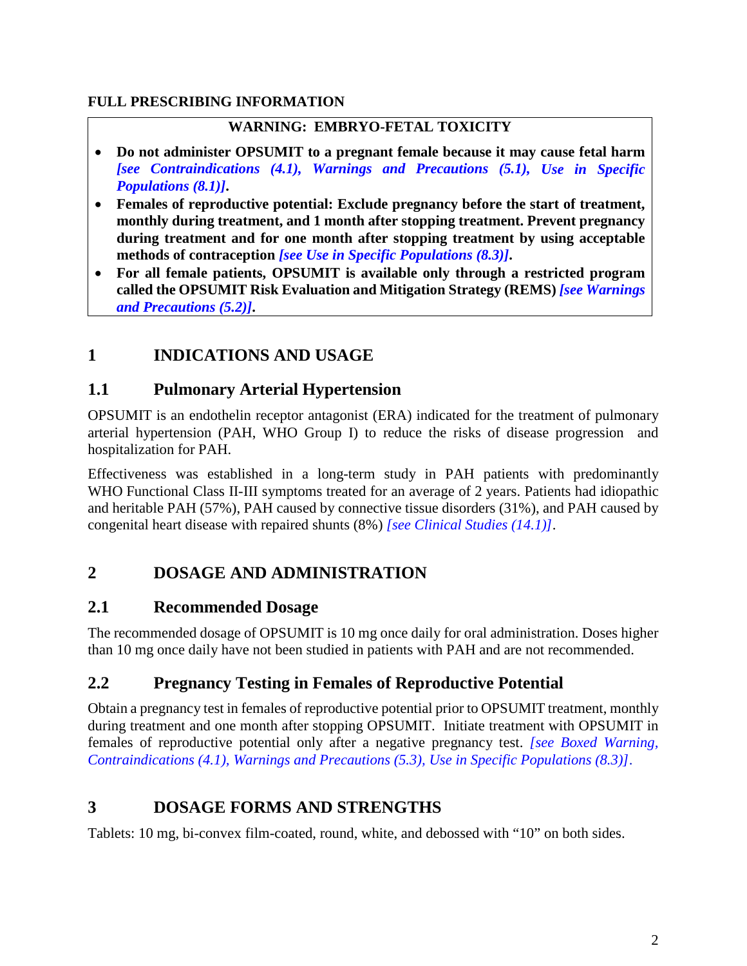### <span id="page-1-9"></span>**FULL PRESCRIBING INFORMATION**

### **WARNING: EMBRYO-FETAL TOXICITY**

- **Do not administer OPSUMIT to a pregnant female because it may cause fetal harm** *[\[see Contraindications \(4.1\),](#page-2-10) [Warnings and Precautions \(5.1\),](#page-2-7) [Use in Specific](#page-6-2) [Populations \(8.1\)\]](#page-6-2)***.**
- **Females of reproductive potential: Exclude pregnancy before the start of treatment, monthly during treatment, and 1 month after stopping treatment. Prevent pregnancy during treatment and for one month after stopping treatment by using acceptable methods of contraception** *[\[see Use in Specific Populations \(8.3\)\]](#page-6-3)***.**
- **For all female patients, OPSUMIT is available only through a restricted program called the OPSUMIT Risk Evaluation and Mitigation Strategy (REMS)** *[\[see Warnings](#page-2-8) [and Precautions \(5.2\)\]](#page-2-8)***.**

## <span id="page-1-0"></span>**1 INDICATIONS AND USAGE**

### <span id="page-1-7"></span><span id="page-1-1"></span>**1.1 Pulmonary Arterial Hypertension**

OPSUMIT is an endothelin receptor antagonist (ERA) indicated for the treatment of pulmonary arterial hypertension (PAH, WHO Group I) to reduce the risks of disease progression and hospitalization for PAH.

Effectiveness was established in a long-term study in PAH patients with predominantly WHO Functional Class II-III symptoms treated for an average of 2 years. Patients had idiopathic and heritable PAH (57%), PAH caused by connective tissue disorders (31%), and PAH caused by congenital heart disease with repaired shunts (8%) *[\[see Clinical Studies \(14.1\)\]](#page-11-3)*.

## <span id="page-1-2"></span>**2 DOSAGE AND ADMINISTRATION**

### <span id="page-1-8"></span><span id="page-1-3"></span>**2.1 Recommended Dosage**

The recommended dosage of OPSUMIT is 10 mg once daily for oral administration. Doses higher than 10 mg once daily have not been studied in patients with PAH and are not recommended.

### <span id="page-1-6"></span><span id="page-1-4"></span>**2.2 Pregnancy Testing in Females of Reproductive Potential**

Obtain a pregnancy test in females of reproductive potential prior to OPSUMIT treatment, monthly during treatment and one month after stopping OPSUMIT. Initiate treatment with OPSUMIT in females of reproductive potential only after a negative pregnancy test. *[\[see Boxed Warning,](#page-1-9) [Contraindications \(4.1\),](#page-2-10) [Warnings and Precautions \(5.3\),](#page-3-1) [Use in Specific Populations \(8.3\)\]](#page-6-3)*.

## <span id="page-1-5"></span>**3 DOSAGE FORMS AND STRENGTHS**

Tablets: 10 mg, bi-convex film-coated, round, white, and debossed with "10" on both sides.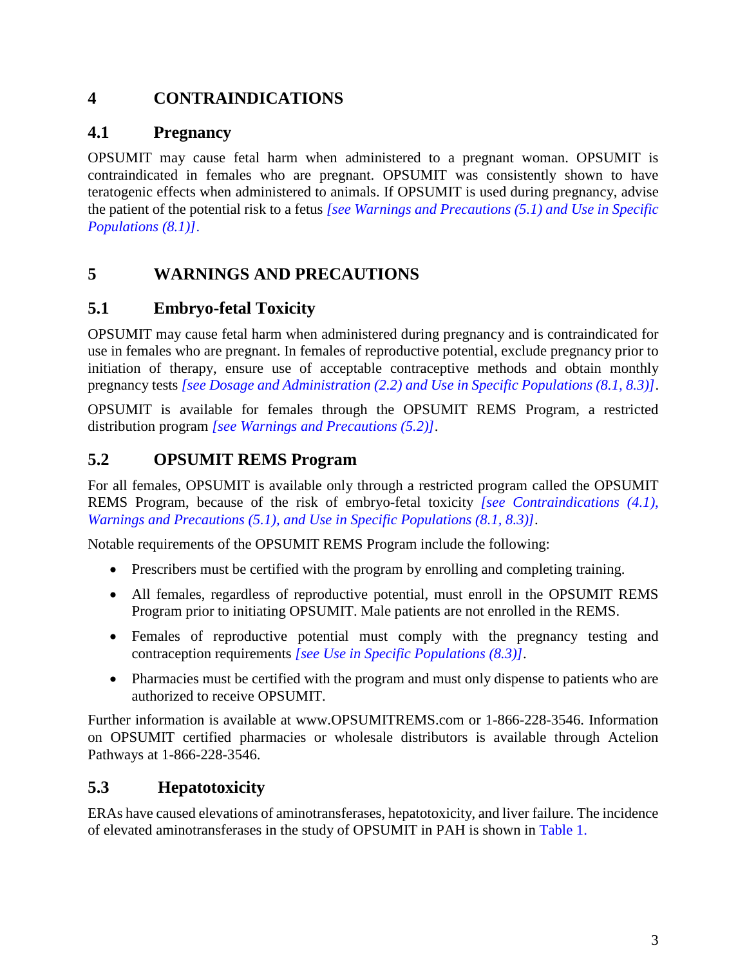## <span id="page-2-9"></span><span id="page-2-0"></span>**4 CONTRAINDICATIONS**

## <span id="page-2-10"></span><span id="page-2-6"></span><span id="page-2-1"></span>**4.1 Pregnancy**

OPSUMIT may cause fetal harm when administered to a pregnant woman. OPSUMIT is contraindicated in females who are pregnant. OPSUMIT was consistently shown to have teratogenic effects when administered to animals. If OPSUMIT is used during pregnancy, advise the patient of the potential risk to a fetus *[\[see Warnings and Precautions \(5.1\)](#page-2-7) [and Use in Specific](#page-6-2) [Populations \(8.1\)\]](#page-6-2)*.

## <span id="page-2-2"></span>**5 WARNINGS AND PRECAUTIONS**

## <span id="page-2-7"></span><span id="page-2-3"></span>**5.1 Embryo-fetal Toxicity**

OPSUMIT may cause fetal harm when administered during pregnancy and is contraindicated for use in females who are pregnant. In females of reproductive potential, exclude pregnancy prior to initiation of therapy, ensure use of acceptable contraceptive methods and obtain monthly pregnancy tests *[\[see Dosage and Administration \(2.2\)](#page-1-6) [and Use in Specific Populations \(8.1,](#page-6-2) [8.3\)\]](#page-6-3)*.

OPSUMIT is available for females through the OPSUMIT REMS Program, a restricted distribution program *[\[see Warnings and Precautions \(5.2\)\]](#page-2-8)*.

## <span id="page-2-8"></span><span id="page-2-4"></span>**5.2 OPSUMIT REMS Program**

For all females, OPSUMIT is available only through a restricted program called the OPSUMIT REMS Program, because of the risk of embryo-fetal toxicity *[\[see Contraindications \(4.1\),](#page-2-10) [Warnings and Precautions \(5.1\),](#page-2-7) [and Use in Specific Populations \(8.1,](#page-6-2) [8.3\)\]](#page-6-3)*.

Notable requirements of the OPSUMIT REMS Program include the following:

- Prescribers must be certified with the program by enrolling and completing training.
- All females, regardless of reproductive potential, must enroll in the OPSUMIT REMS Program prior to initiating OPSUMIT. Male patients are not enrolled in the REMS.
- Females of reproductive potential must comply with the pregnancy testing and contraception requirements *[\[see Use in Specific Populations \(8.3\)\]](#page-6-3)*.
- Pharmacies must be certified with the program and must only dispense to patients who are authorized to receive OPSUMIT.

Further information is available at www.OPSUMITREMS.com or 1-866-228-3546. Information on OPSUMIT certified pharmacies or wholesale distributors is available through Actelion Pathways at 1-866-228-3546.

## <span id="page-2-5"></span>**5.3 Hepatotoxicity**

ERAs have caused elevations of aminotransferases, hepatotoxicity, and liver failure. The incidence of elevated aminotransferases in the study of OPSUMIT in PAH is shown in [Table 1.](#page-3-4)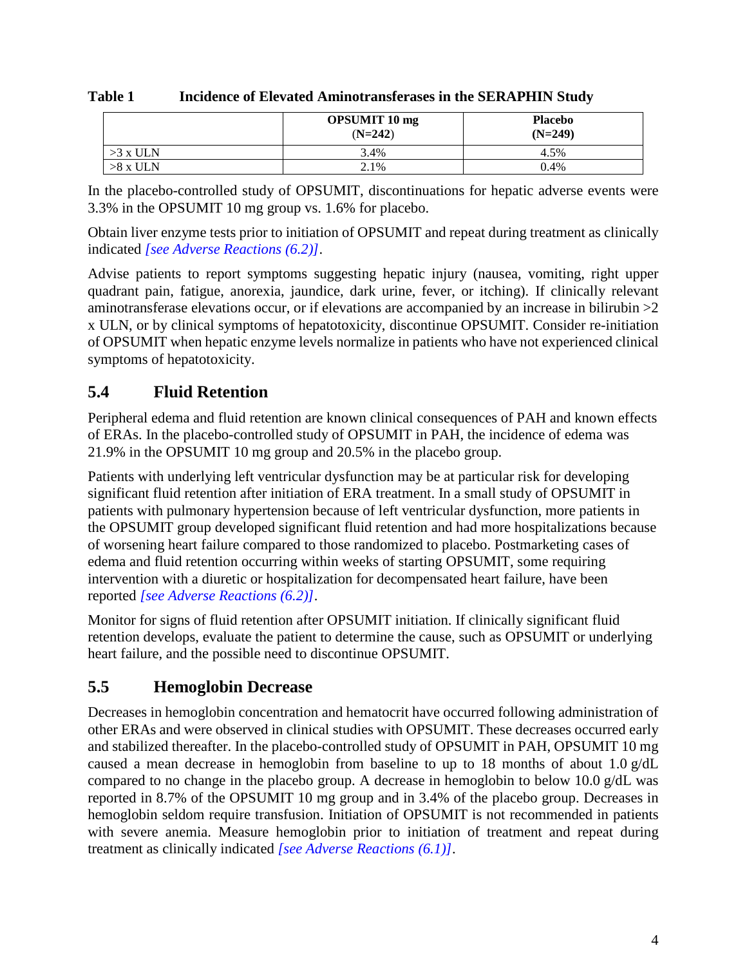|            | <b>OPSUMIT 10 mg</b><br>$(N=242)$ | <b>Placebo</b><br>$(N=249)$ |
|------------|-----------------------------------|-----------------------------|
| $>3$ x ULN | 3.4%                              | 4.5%                        |
| $>8$ x ULN | 2.1%                              | 0.4%                        |

<span id="page-3-4"></span><span id="page-3-1"></span>**Table 1 Incidence of Elevated Aminotransferases in the SERAPHIN Study**

In the placebo-controlled study of OPSUMIT, discontinuations for hepatic adverse events were 3.3% in the OPSUMIT 10 mg group vs. 1.6% for placebo.

Obtain liver enzyme tests prior to initiation of OPSUMIT and repeat during treatment as clinically indicated *[\[see Adverse Reactions \(6.2\)\]](#page-5-7)*.

Advise patients to report symptoms suggesting hepatic injury (nausea, vomiting, right upper quadrant pain, fatigue, anorexia, jaundice, dark urine, fever, or itching). If clinically relevant aminotransferase elevations occur, or if elevations are accompanied by an increase in bilirubin  $>2$ x ULN, or by clinical symptoms of hepatotoxicity, discontinue OPSUMIT. Consider re-initiation of OPSUMIT when hepatic enzyme levels normalize in patients who have not experienced clinical symptoms of hepatotoxicity.

## <span id="page-3-2"></span><span id="page-3-0"></span>**5.4 Fluid Retention**

Peripheral edema and fluid retention are known clinical consequences of PAH and known effects of ERAs. In the placebo-controlled study of OPSUMIT in PAH, the incidence of edema was 21.9% in the OPSUMIT 10 mg group and 20.5% in the placebo group.

Patients with underlying left ventricular dysfunction may be at particular risk for developing significant fluid retention after initiation of ERA treatment. In a small study of OPSUMIT in patients with pulmonary hypertension because of left ventricular dysfunction, more patients in the OPSUMIT group developed significant fluid retention and had more hospitalizations because of worsening heart failure compared to those randomized to placebo. Postmarketing cases of edema and fluid retention occurring within weeks of starting OPSUMIT, some requiring intervention with a diuretic or hospitalization for decompensated heart failure, have been reported *[\[see Adverse Reactions \(6.2\)\]](#page-5-7)*.

Monitor for signs of fluid retention after OPSUMIT initiation. If clinically significant fluid retention develops, evaluate the patient to determine the cause, such as OPSUMIT or underlying heart failure, and the possible need to discontinue OPSUMIT.

## <span id="page-3-3"></span>**5.5 Hemoglobin Decrease**

Decreases in hemoglobin concentration and hematocrit have occurred following administration of other ERAs and were observed in clinical studies with OPSUMIT. These decreases occurred early and stabilized thereafter. In the placebo-controlled study of OPSUMIT in PAH, OPSUMIT 10 mg caused a mean decrease in hemoglobin from baseline to up to 18 months of about 1.0 g/dL compared to no change in the placebo group. A decrease in hemoglobin to below 10.0 g/dL was reported in 8.7% of the OPSUMIT 10 mg group and in 3.4% of the placebo group. Decreases in hemoglobin seldom require transfusion. Initiation of OPSUMIT is not recommended in patients with severe anemia. Measure hemoglobin prior to initiation of treatment and repeat during treatment as clinically indicated *[\[see Adverse Reactions \(6.1\)\]](#page-4-7)*.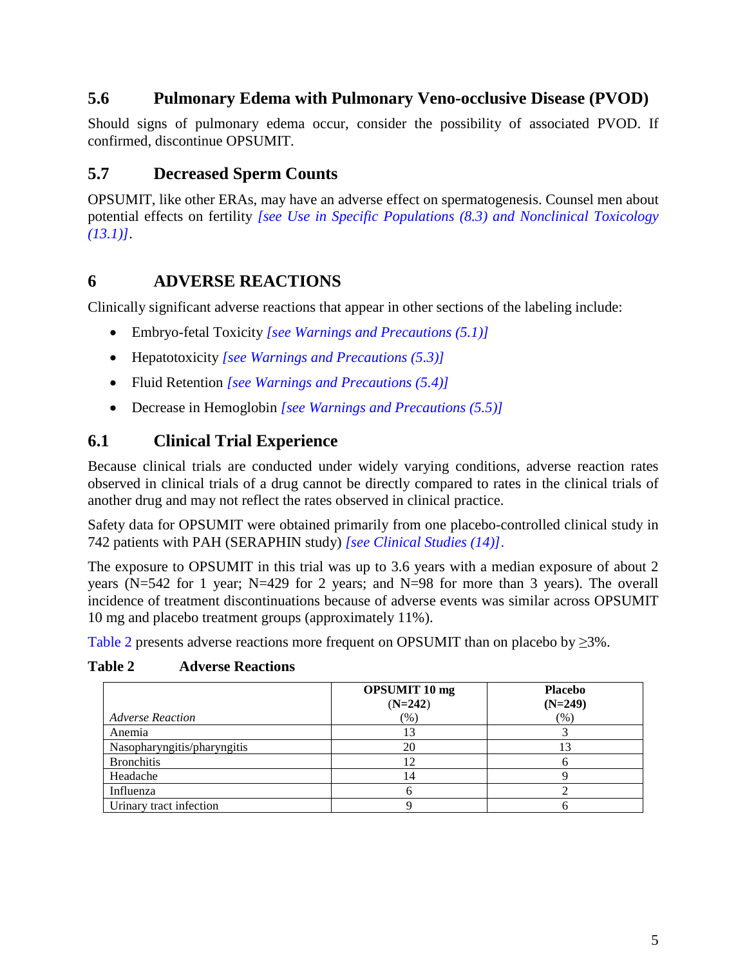### <span id="page-4-5"></span><span id="page-4-0"></span>**5.6 Pulmonary Edema with Pulmonary Veno-occlusive Disease (PVOD)**

Should signs of pulmonary edema occur, consider the possibility of associated PVOD. If confirmed, discontinue OPSUMIT.

## <span id="page-4-6"></span><span id="page-4-1"></span>**5.7 Decreased Sperm Counts**

OPSUMIT, like other ERAs, may have an adverse effect on spermatogenesis. Counsel men about potential effects on fertility *[see [Use in Specific Populations \(8.3\)](#page-6-3) and [Nonclinical Toxicology](#page-10-2) [\(13.1\)\]](#page-10-2)*.

### <span id="page-4-2"></span>**6 ADVERSE REACTIONS**

Clinically significant adverse reactions that appear in other sections of the labeling include:

- Embryo-fetal Toxicity *[\[see Warnings and Precautions \(5.1\)\]](#page-2-7)*
- Hepatotoxicity *[\[see Warnings and Precautions \(5.3\)\]](#page-3-1)*
- Fluid Retention *[\[see Warnings and Precautions \(5.4\)\]](#page-3-2)*
- Decrease in Hemoglobin *[\[see Warnings and Precautions \(5.5\)\]](#page-3-3)*

## <span id="page-4-7"></span><span id="page-4-3"></span>**6.1 Clinical Trial Experience**

Because clinical trials are conducted under widely varying conditions, adverse reaction rates observed in clinical trials of a drug cannot be directly compared to rates in the clinical trials of another drug and may not reflect the rates observed in clinical practice.

Safety data for OPSUMIT were obtained primarily from one placebo-controlled clinical study in 742 patients with PAH (SERAPHIN study) *[\[see Clinical Studies \(14\)\]](#page-11-4)*.

The exposure to OPSUMIT in this trial was up to 3.6 years with a median exposure of about 2 years (N=542 for 1 year; N=429 for 2 years; and N=98 for more than 3 years). The overall incidence of treatment discontinuations because of adverse events was similar across OPSUMIT 10 mg and placebo treatment groups (approximately 11%).

[Table 2](#page-4-8) presents adverse reactions more frequent on OPSUMIT than on placebo by  $\geq$ 3%.

<span id="page-4-8"></span>**Table 2 Adverse Reactions** 

<span id="page-4-4"></span>

|                             | <b>OPSUMIT 10 mg</b><br>$(N=242)$ | <b>Placebo</b><br>$(N=249)$ |
|-----------------------------|-----------------------------------|-----------------------------|
| <b>Adverse Reaction</b>     | (% )                              | $(\%)$                      |
| Anemia                      | 13                                |                             |
| Nasopharyngitis/pharyngitis | 20                                | l3                          |
| <b>Bronchitis</b>           | 12                                |                             |
| Headache                    | 14                                |                             |
| Influenza                   |                                   |                             |
| Urinary tract infection     |                                   |                             |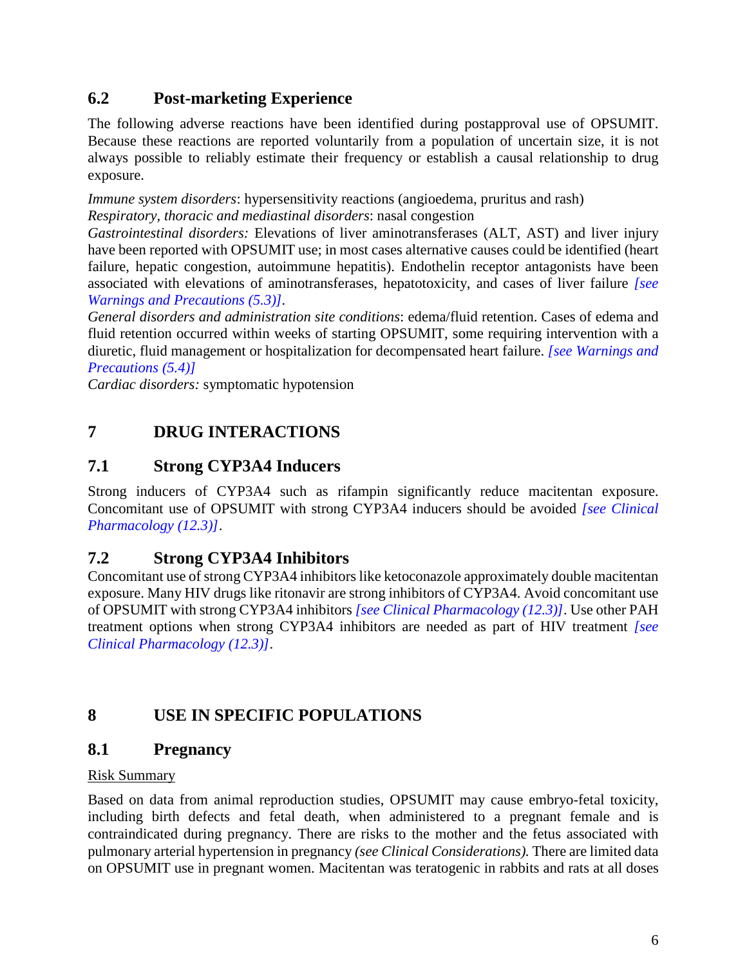## <span id="page-5-7"></span>**6.2 Post-marketing Experience**

The following adverse reactions have been identified during postapproval use of OPSUMIT. Because these reactions are reported voluntarily from a population of uncertain size, it is not always possible to reliably estimate their frequency or establish a causal relationship to drug exposure.

*Immune system disorders*: hypersensitivity reactions (angioedema, pruritus and rash)

*Respiratory, thoracic and mediastinal disorders*: nasal congestion

*Gastrointestinal disorders:* Elevations of liver aminotransferases (ALT, AST) and liver injury have been reported with OPSUMIT use; in most cases alternative causes could be identified (heart failure, hepatic congestion, autoimmune hepatitis). Endothelin receptor antagonists have been associated with elevations of aminotransferases, hepatotoxicity, and cases of liver failure *[\[see](#page-3-1) [Warnings and Precautions \(5.3\)\]](#page-3-1).*

*General disorders and administration site conditions*: edema/fluid retention. Cases of edema and fluid retention occurred within weeks of starting OPSUMIT, some requiring intervention with a diuretic, fluid management or hospitalization for decompensated heart failure. *[\[see Warnings and](#page-3-2) [Precautions \(5.4\)\]](#page-3-2)*

<span id="page-5-0"></span>*Cardiac disorders:* symptomatic hypotension

## **7 DRUG INTERACTIONS**

## <span id="page-5-5"></span><span id="page-5-1"></span>**7.1 Strong CYP3A4 Inducers**

Strong inducers of CYP3A4 such as rifampin significantly reduce macitentan exposure. Concomitant use of OPSUMIT with strong CYP3A4 inducers should be avoided *[\[see Clinical](#page-8-4) [Pharmacology \(12.3\)\]](#page-8-4)*.

## <span id="page-5-6"></span><span id="page-5-2"></span>**7.2 Strong CYP3A4 Inhibitors**

Concomitant use of strong CYP3A4 inhibitors like ketoconazole approximately double macitentan exposure. Many HIV drugs like ritonavir are strong inhibitors of CYP3A4. Avoid concomitant use of OPSUMIT with strong CYP3A4 inhibitors *[\[see Clinical Pharmacology \(12.3\)\]](#page-8-4)*. Use other PAH treatment options when strong CYP3A4 inhibitors are needed as part of HIV treatment *[\[see](#page-8-4)  [Clinical Pharmacology \(12.3\)\]](#page-8-4)*.

## <span id="page-5-3"></span>**8 USE IN SPECIFIC POPULATIONS**

## <span id="page-5-4"></span>**8.1 Pregnancy**

### Risk Summary

Based on data from animal reproduction studies, OPSUMIT may cause embryo-fetal toxicity, including birth defects and fetal death, when administered to a pregnant female and is contraindicated during pregnancy. There are risks to the mother and the fetus associated with pulmonary arterial hypertension in pregnancy *(see Clinical Considerations).* There are limited data on OPSUMIT use in pregnant women. Macitentan was teratogenic in rabbits and rats at all doses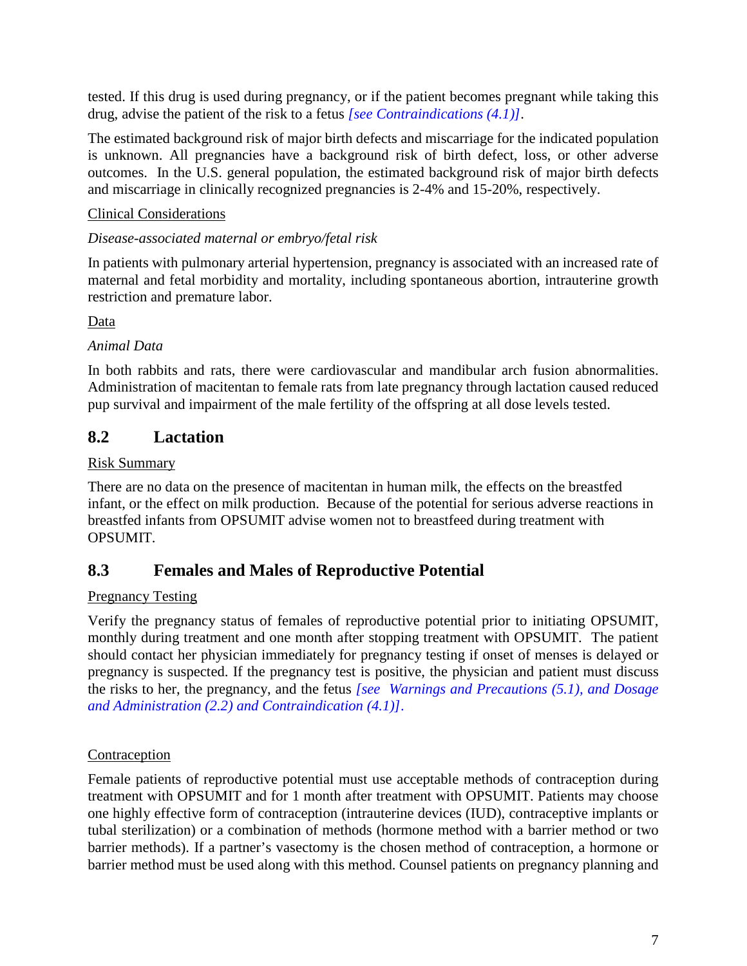<span id="page-6-2"></span>tested. If this drug is used during pregnancy, or if the patient becomes pregnant while taking this drug, advise the patient of the risk to a fetus *[\[see Contraindications \(4.1\)\]](#page-2-10)*.

The estimated background risk of major birth defects and miscarriage for the indicated population is unknown. All pregnancies have a background risk of birth defect, loss, or other adverse outcomes. In the U.S. general population, the estimated background risk of major birth defects and miscarriage in clinically recognized pregnancies is 2-4% and 15-20%, respectively.

### Clinical Considerations

### *Disease-associated maternal or embryo/fetal risk*

In patients with pulmonary arterial hypertension, pregnancy is associated with an increased rate of maternal and fetal morbidity and mortality, including spontaneous abortion, intrauterine growth restriction and premature labor.

### Data

### *Animal Data*

In both rabbits and rats, there were cardiovascular and mandibular arch fusion abnormalities. Administration of macitentan to female rats from late pregnancy through lactation caused reduced pup survival and impairment of the male fertility of the offspring at all dose levels tested.

## <span id="page-6-4"></span><span id="page-6-0"></span>**8.2 Lactation**

### Risk Summary

There are no data on the presence of macitentan in human milk, the effects on the breastfed infant, or the effect on milk production. Because of the potential for serious adverse reactions in breastfed infants from OPSUMIT advise women not to breastfeed during treatment with OPSUMIT.

### <span id="page-6-3"></span><span id="page-6-1"></span>**8.3 Females and Males of Reproductive Potential**

### Pregnancy Testing

Verify the pregnancy status of females of reproductive potential prior to initiating OPSUMIT, monthly during treatment and one month after stopping treatment with OPSUMIT. The patient should contact her physician immediately for pregnancy testing if onset of menses is delayed or pregnancy is suspected. If the pregnancy test is positive, the physician and patient must discuss the risks to her, the pregnancy, and the fetus *[\[see Warnings and Precautions \(5.1\),](#page-2-7) [and Dosage](#page-1-6) [and Administration \(2.2\)](#page-1-6) [and Contraindication \(4.1\)\]](#page-2-10)*.

### Contraception

Female patients of reproductive potential must use acceptable methods of contraception during treatment with OPSUMIT and for 1 month after treatment with OPSUMIT. Patients may choose one highly effective form of contraception (intrauterine devices (IUD), contraceptive implants or tubal sterilization) or a combination of methods (hormone method with a barrier method or two barrier methods). If a partner's vasectomy is the chosen method of contraception, a hormone or barrier method must be used along with this method. Counsel patients on pregnancy planning and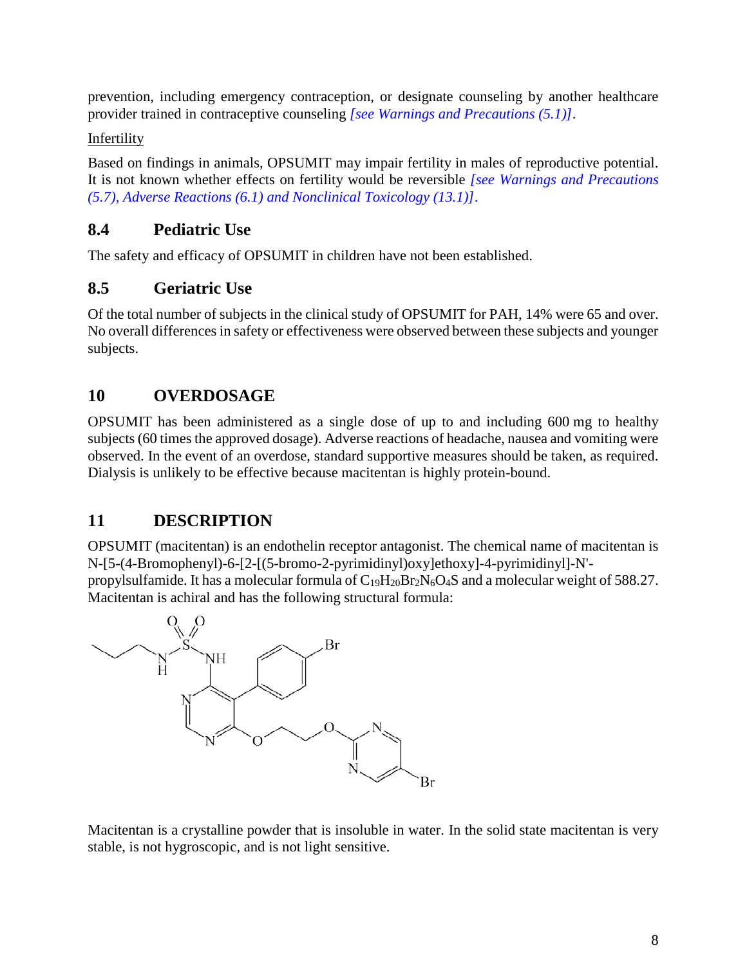prevention, including emergency contraception, or designate counseling by another healthcare provider trained in contraceptive counseling *[\[see Warnings and Precautions \(5.1\)\]](#page-2-7)*.

Infertility

Based on findings in animals, OPSUMIT may impair fertility in males of reproductive potential. It is not known whether effects on fertility would be reversible *[\[see Warnings and Precautions](#page-4-6) [\(5.7\),](#page-4-6) [Adverse Reactions \(6.1\)](#page-4-7) [and Nonclinical Toxicology \(13.1\)\]](#page-10-2)*.

## <span id="page-7-0"></span>**8.4 Pediatric Use**

The safety and efficacy of OPSUMIT in children have not been established.

## <span id="page-7-1"></span>**8.5 Geriatric Use**

Of the total number of subjects in the clinical study of OPSUMIT for PAH, 14% were 65 and over. No overall differences in safety or effectiveness were observed between these subjects and younger subjects.

## <span id="page-7-2"></span>**10 OVERDOSAGE**

OPSUMIT has been administered as a single dose of up to and including 600 mg to healthy subjects(60 times the approved dosage). Adverse reactions of headache, nausea and vomiting were observed. In the event of an overdose, standard supportive measures should be taken, as required. Dialysis is unlikely to be effective because macitentan is highly protein-bound.

## <span id="page-7-3"></span>**11 DESCRIPTION**

OPSUMIT (macitentan) is an endothelin receptor antagonist. The chemical name of macitentan is N-[5-(4-Bromophenyl)-6-[2-[(5-bromo-2-pyrimidinyl)oxy]ethoxy]-4-pyrimidinyl]-N' propylsulfamide. It has a molecular formula of  $C_{19}H_{20}Br_2N_6O_4S$  and a molecular weight of 588.27. Macitentan is achiral and has the following structural formula:



Macitentan is a crystalline powder that is insoluble in water. In the solid state macitentan is very stable, is not hygroscopic, and is not light sensitive.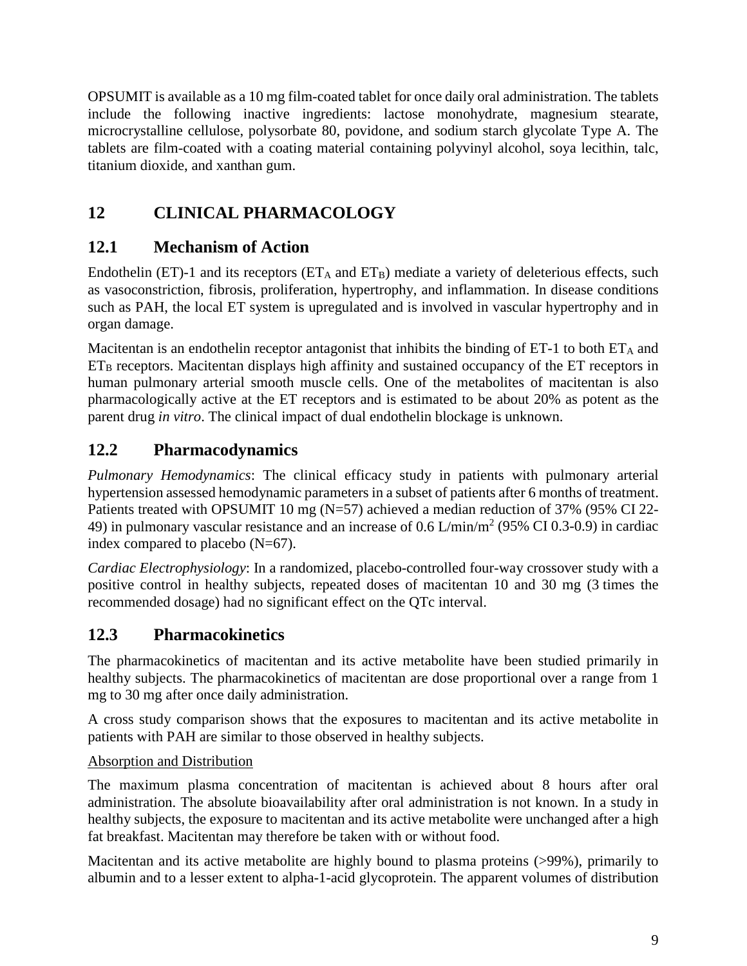OPSUMIT is available as a 10 mg film-coated tablet for once daily oral administration. The tablets include the following inactive ingredients: lactose monohydrate, magnesium stearate, microcrystalline cellulose, polysorbate 80, povidone, and sodium starch glycolate Type A. The tablets are film-coated with a coating material containing polyvinyl alcohol, soya lecithin, talc, titanium dioxide, and xanthan gum.

# <span id="page-8-0"></span>**12 CLINICAL PHARMACOLOGY**

## <span id="page-8-1"></span>**12.1 Mechanism of Action**

Endothelin (ET)-1 and its receptors ( $ET_A$  and  $ET_B$ ) mediate a variety of deleterious effects, such as vasoconstriction, fibrosis, proliferation, hypertrophy, and inflammation. In disease conditions such as PAH, the local ET system is upregulated and is involved in vascular hypertrophy and in organ damage.

Macitentan is an endothelin receptor antagonist that inhibits the binding of  $ET-1$  to both  $ET_A$  and  $ET_B$  receptors. Macitentan displays high affinity and sustained occupancy of the  $ET$  receptors in human pulmonary arterial smooth muscle cells. One of the metabolites of macitentan is also pharmacologically active at the ET receptors and is estimated to be about 20% as potent as the parent drug *in vitro*. The clinical impact of dual endothelin blockage is unknown.

## <span id="page-8-2"></span>**12.2 Pharmacodynamics**

*Pulmonary Hemodynamics*: The clinical efficacy study in patients with pulmonary arterial hypertension assessed hemodynamic parameters in a subset of patients after 6 months of treatment. Patients treated with OPSUMIT 10 mg (N=57) achieved a median reduction of 37% (95% CI 22- 49) in pulmonary vascular resistance and an increase of 0.6  $L/min/m^2$  (95% CI 0.3-0.9) in cardiac index compared to placebo (N=67).

*Cardiac Electrophysiology*: In a randomized, placebo-controlled four-way crossover study with a positive control in healthy subjects, repeated doses of macitentan 10 and 30 mg (3 times the recommended dosage) had no significant effect on the QTc interval.

## <span id="page-8-4"></span><span id="page-8-3"></span>**12.3 Pharmacokinetics**

The pharmacokinetics of macitentan and its active metabolite have been studied primarily in healthy subjects. The pharmacokinetics of macitentan are dose proportional over a range from 1 mg to 30 mg after once daily administration.

A cross study comparison shows that the exposures to macitentan and its active metabolite in patients with PAH are similar to those observed in healthy subjects.

### Absorption and Distribution

The maximum plasma concentration of macitentan is achieved about 8 hours after oral administration. The absolute bioavailability after oral administration is not known. In a study in healthy subjects, the exposure to macitentan and its active metabolite were unchanged after a high fat breakfast. Macitentan may therefore be taken with or without food.

Macitentan and its active metabolite are highly bound to plasma proteins (>99%), primarily to albumin and to a lesser extent to alpha-1-acid glycoprotein. The apparent volumes of distribution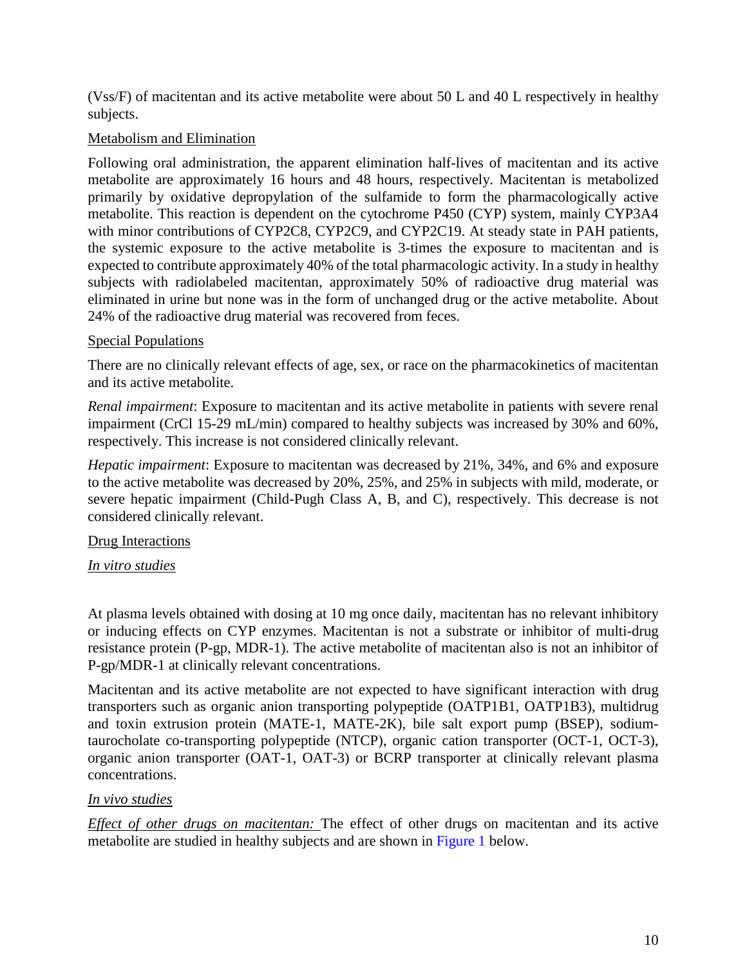(Vss/F) of macitentan and its active metabolite were about 50 L and 40 L respectively in healthy subjects.

### Metabolism and Elimination

Following oral administration, the apparent elimination half-lives of macitentan and its active metabolite are approximately 16 hours and 48 hours, respectively. Macitentan is metabolized primarily by oxidative depropylation of the sulfamide to form the pharmacologically active metabolite. This reaction is dependent on the cytochrome P450 (CYP) system, mainly CYP3A4 with minor contributions of CYP2C8, CYP2C9, and CYP2C19. At steady state in PAH patients, the systemic exposure to the active metabolite is 3-times the exposure to macitentan and is expected to contribute approximately 40% of the total pharmacologic activity. In a study in healthy subjects with radiolabeled macitentan, approximately 50% of radioactive drug material was eliminated in urine but none was in the form of unchanged drug or the active metabolite. About 24% of the radioactive drug material was recovered from feces.

### Special Populations

There are no clinically relevant effects of age, sex, or race on the pharmacokinetics of macitentan and its active metabolite.

*Renal impairment*: Exposure to macitentan and its active metabolite in patients with severe renal impairment (CrCl 15-29 mL/min) compared to healthy subjects was increased by 30% and 60%, respectively. This increase is not considered clinically relevant.

*Hepatic impairment*: Exposure to macitentan was decreased by 21%, 34%, and 6% and exposure to the active metabolite was decreased by 20%, 25%, and 25% in subjects with mild, moderate, or severe hepatic impairment (Child-Pugh Class A, B, and C), respectively. This decrease is not considered clinically relevant.

### Drug Interactions

### *In vitro studies*

At plasma levels obtained with dosing at 10 mg once daily, macitentan has no relevant inhibitory or inducing effects on CYP enzymes. Macitentan is not a substrate or inhibitor of multi-drug resistance protein (P-gp, MDR-1). The active metabolite of macitentan also is not an inhibitor of P-gp/MDR-1 at clinically relevant concentrations.

Macitentan and its active metabolite are not expected to have significant interaction with drug transporters such as organic anion transporting polypeptide (OATP1B1, OATP1B3), multidrug and toxin extrusion protein (MATE-1, MATE-2K), bile salt export pump (BSEP), sodiumtaurocholate co-transporting polypeptide (NTCP), organic cation transporter (OCT-1, OCT-3), organic anion transporter (OAT-1, OAT-3) or BCRP transporter at clinically relevant plasma concentrations.

### *In vivo studies*

*Effect of other drugs on macitentan:* The effect of other drugs on macitentan and its active metabolite are studied in healthy subjects and are shown in [Figure 1](#page-10-3) below.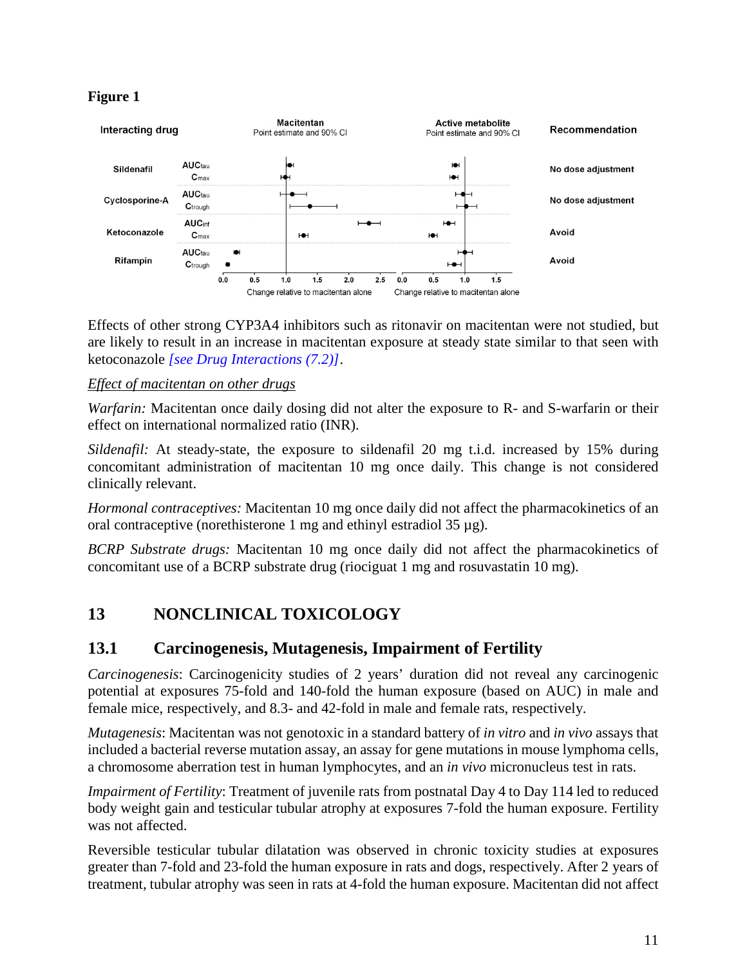### <span id="page-10-3"></span>**Figure 1**



Effects of other strong CYP3A4 inhibitors such as ritonavir on macitentan were not studied, but are likely to result in an increase in macitentan exposure at steady state similar to that seen with ketoconazole *[\[see Drug Interactions \(7.2\)\]](#page-5-6)*.

### *Effect of macitentan on other drugs*

*Warfarin:* Macitentan once daily dosing did not alter the exposure to R- and S-warfarin or their effect on international normalized ratio (INR).

*Sildenafil:* At steady-state, the exposure to sildenafil 20 mg t.i.d. increased by 15% during concomitant administration of macitentan 10 mg once daily. This change is not considered clinically relevant.

*Hormonal contraceptives:* Macitentan 10 mg once daily did not affect the pharmacokinetics of an oral contraceptive (norethisterone 1 mg and ethinyl estradiol 35 µg).

*BCRP Substrate drugs:* Macitentan 10 mg once daily did not affect the pharmacokinetics of concomitant use of a BCRP substrate drug (riociguat 1 mg and rosuvastatin 10 mg).

### <span id="page-10-0"></span>**13 NONCLINICAL TOXICOLOGY**

### <span id="page-10-2"></span><span id="page-10-1"></span>**13.1 Carcinogenesis, Mutagenesis, Impairment of Fertility**

*Carcinogenesis*: Carcinogenicity studies of 2 years' duration did not reveal any carcinogenic potential at exposures 75-fold and 140-fold the human exposure (based on AUC) in male and female mice, respectively, and 8.3- and 42-fold in male and female rats, respectively.

*Mutagenesis*: Macitentan was not genotoxic in a standard battery of *in vitro* and *in vivo* assays that included a bacterial reverse mutation assay, an assay for gene mutations in mouse lymphoma cells, a chromosome aberration test in human lymphocytes, and an *in vivo* micronucleus test in rats.

*Impairment of Fertility*: Treatment of juvenile rats from postnatal Day 4 to Day 114 led to reduced body weight gain and testicular tubular atrophy at exposures 7-fold the human exposure. Fertility was not affected.

Reversible testicular tubular dilatation was observed in chronic toxicity studies at exposures greater than 7-fold and 23-fold the human exposure in rats and dogs, respectively. After 2 years of treatment, tubular atrophy was seen in rats at 4-fold the human exposure. Macitentan did not affect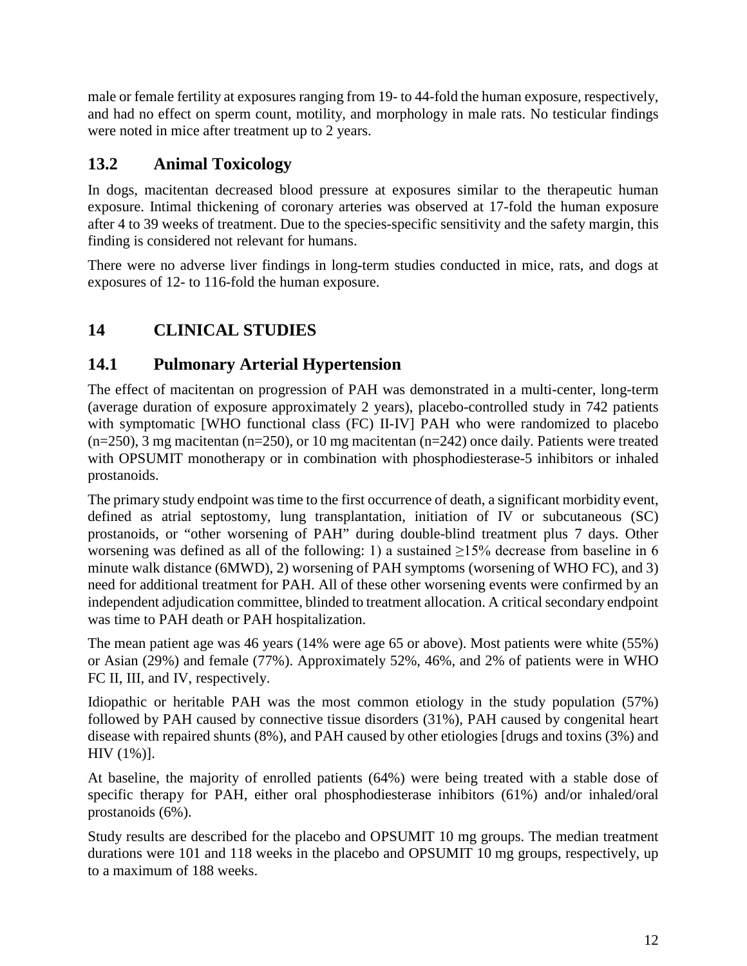male or female fertility at exposures ranging from 19- to 44-fold the human exposure, respectively, and had no effect on sperm count, motility, and morphology in male rats. No testicular findings were noted in mice after treatment up to 2 years.

## <span id="page-11-0"></span>**13.2 Animal Toxicology**

In dogs, macitentan decreased blood pressure at exposures similar to the therapeutic human exposure. Intimal thickening of coronary arteries was observed at 17-fold the human exposure after 4 to 39 weeks of treatment. Due to the species-specific sensitivity and the safety margin, this finding is considered not relevant for humans.

There were no adverse liver findings in long-term studies conducted in mice, rats, and dogs at exposures of 12- to 116-fold the human exposure.

# <span id="page-11-4"></span><span id="page-11-1"></span>**14 CLINICAL STUDIES**

## <span id="page-11-3"></span><span id="page-11-2"></span>**14.1 Pulmonary Arterial Hypertension**

The effect of macitentan on progression of PAH was demonstrated in a multi-center, long-term (average duration of exposure approximately 2 years), placebo-controlled study in 742 patients with symptomatic [WHO functional class (FC) II-IV] PAH who were randomized to placebo (n=250), 3 mg macitentan (n=250), or 10 mg macitentan (n=242) once daily. Patients were treated with OPSUMIT monotherapy or in combination with phosphodiesterase-5 inhibitors or inhaled prostanoids.

The primary study endpoint was time to the first occurrence of death, a significant morbidity event, defined as atrial septostomy, lung transplantation, initiation of IV or subcutaneous (SC) prostanoids, or "other worsening of PAH" during double-blind treatment plus 7 days. Other worsening was defined as all of the following: 1) a sustained  $\geq$ 15% decrease from baseline in 6 minute walk distance (6MWD), 2) worsening of PAH symptoms (worsening of WHO FC), and 3) need for additional treatment for PAH. All of these other worsening events were confirmed by an independent adjudication committee, blinded to treatment allocation. A critical secondary endpoint was time to PAH death or PAH hospitalization.

The mean patient age was 46 years (14% were age 65 or above). Most patients were white (55%) or Asian (29%) and female (77%). Approximately 52%, 46%, and 2% of patients were in WHO FC II, III, and IV, respectively.

Idiopathic or heritable PAH was the most common etiology in the study population (57%) followed by PAH caused by connective tissue disorders (31%), PAH caused by congenital heart disease with repaired shunts (8%), and PAH caused by other etiologies [drugs and toxins (3%) and HIV (1%)].

At baseline, the majority of enrolled patients (64%) were being treated with a stable dose of specific therapy for PAH, either oral phosphodiesterase inhibitors (61%) and/or inhaled/oral prostanoids (6%).

Study results are described for the placebo and OPSUMIT 10 mg groups. The median treatment durations were 101 and 118 weeks in the placebo and OPSUMIT 10 mg groups, respectively, up to a maximum of 188 weeks.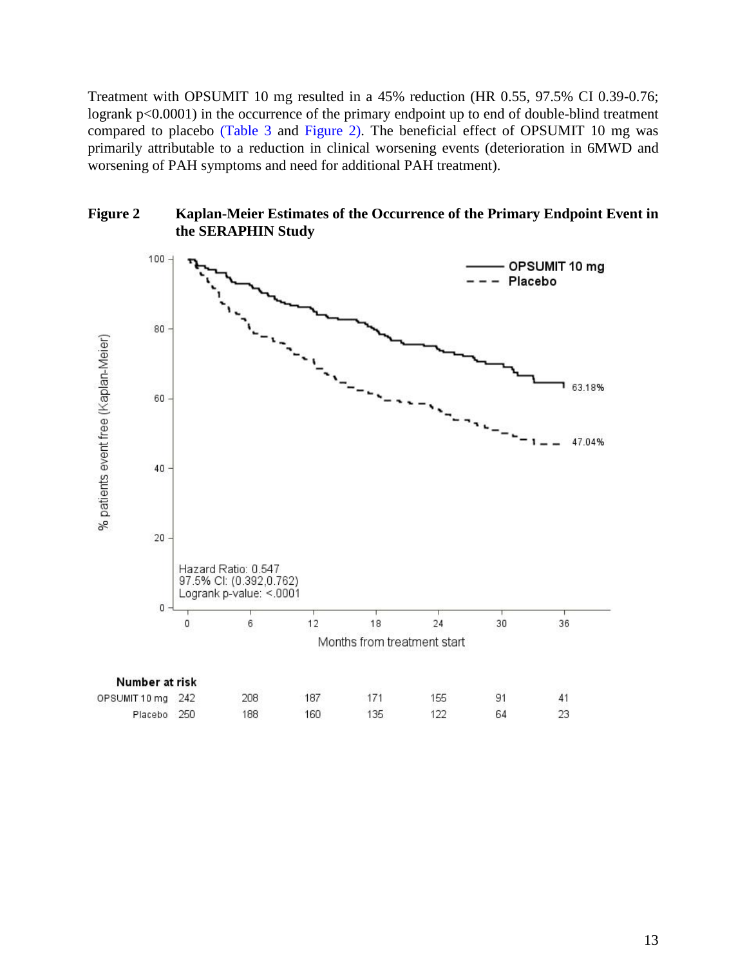Treatment with OPSUMIT 10 mg resulted in a 45% reduction (HR 0.55, 97.5% CI 0.39-0.76; logrank  $p<0.0001$ ) in the occurrence of the primary endpoint up to end of double-blind treatment compared to placebo [\(Table 3](#page-13-0) and [Figure 2\)](#page-12-0). The beneficial effect of OPSUMIT 10 mg was primarily attributable to a reduction in clinical worsening events (deterioration in 6MWD and worsening of PAH symptoms and need for additional PAH treatment).



<span id="page-12-0"></span>**Figure 2 Kaplan-Meier Estimates of the Occurrence of the Primary Endpoint Event in the SERAPHIN Study**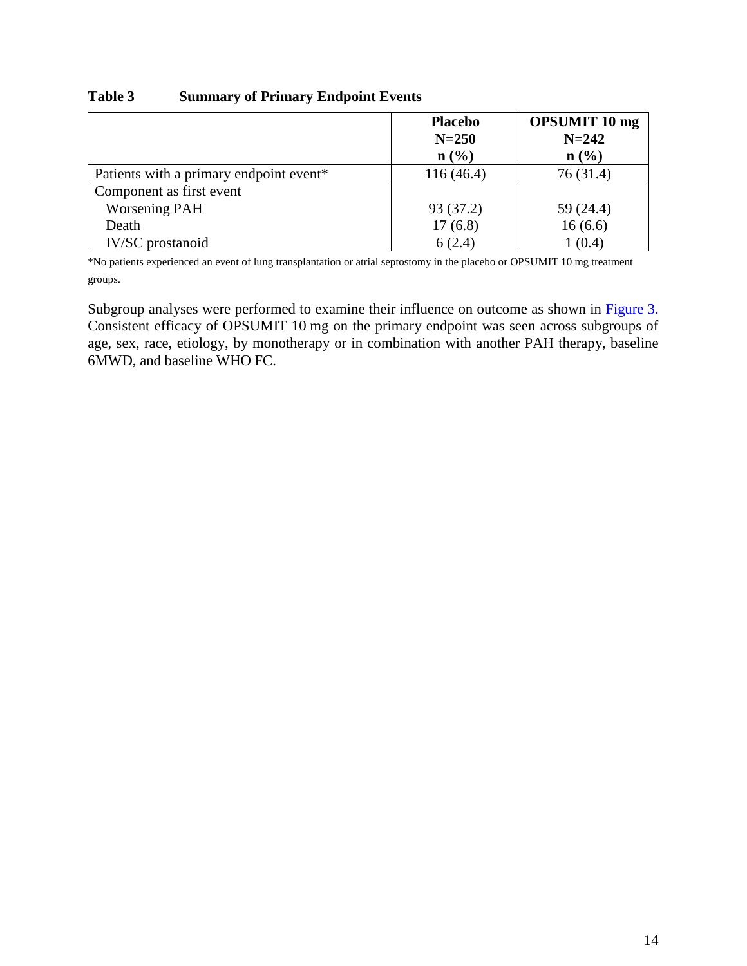|                                         | <b>Placebo</b><br>$N = 250$<br>n(%) | <b>OPSUMIT 10 mg</b><br>$N = 242$<br>$n\left(\frac{0}{0}\right)$ |
|-----------------------------------------|-------------------------------------|------------------------------------------------------------------|
| Patients with a primary endpoint event* | 116(46.4)                           | 76(31.4)                                                         |
| Component as first event                |                                     |                                                                  |
| <b>Worsening PAH</b>                    | 93 (37.2)                           | 59 (24.4)                                                        |
| Death                                   | 17(6.8)                             | 16(6.6)                                                          |
| <b>IV/SC</b> prostanoid                 | 6(2.4)                              | 1(0.4)                                                           |

#### <span id="page-13-0"></span>**Table 3 Summary of Primary Endpoint Events**

\*No patients experienced an event of lung transplantation or atrial septostomy in the placebo or OPSUMIT 10 mg treatment groups.

Subgroup analyses were performed to examine their influence on outcome as shown in [Figure 3.](#page-14-0) Consistent efficacy of OPSUMIT 10 mg on the primary endpoint was seen across subgroups of age, sex, race, etiology, by monotherapy or in combination with another PAH therapy, baseline 6MWD, and baseline WHO FC.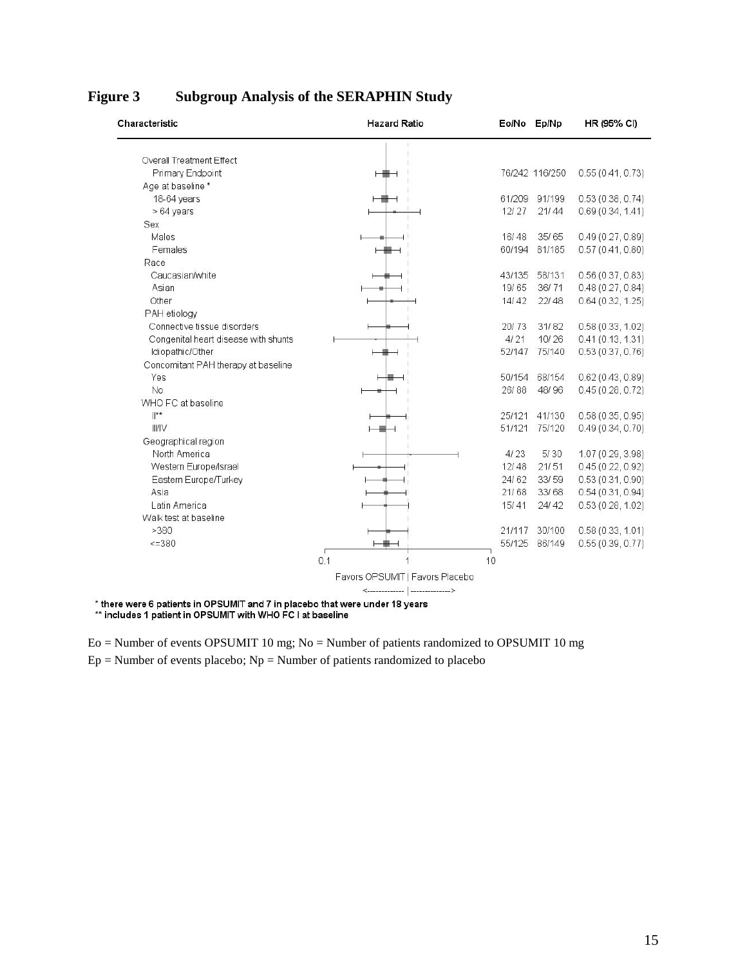| Characteristic                       | <b>Hazard Ratio</b>             | Eo/No Ep/Np |                | HR (95% CI)       |
|--------------------------------------|---------------------------------|-------------|----------------|-------------------|
| Overall Treatment Effect             |                                 |             |                |                   |
| Primary Endpoint                     | ⊢₩⊣                             |             | 76/242 116/250 | 0.55(0.41, 0.73)  |
| Age at baseline *                    |                                 |             |                |                   |
| 18-64 years                          |                                 |             | 61/209 91/199  | 0.53(0.38, 0.74)  |
| > 64 years                           |                                 | 12/27       | 21/44          | 0.69(0.34, 1.41)  |
| Sex                                  |                                 |             |                |                   |
| Males                                |                                 | 16/48       | 35/65          | 0.49(0.27, 0.89)  |
| Females                              |                                 | 60/194      | 81/185         | 0.57(0.41, 0.80)  |
| Race                                 |                                 |             |                |                   |
| Caucasian/white                      |                                 | 43/135      | 58/131         | 0.56(0.37, 0.83)  |
| Asian                                |                                 | 19/65       | 36/71          | 0.48(0.27, 0.84)  |
| Other                                |                                 | 14/42       | 22/48          | 0.64(0.32, 1.25)  |
| PAH etiology                         |                                 |             |                |                   |
| Connective tissue disorders          |                                 | 20/73       | 31/82          | 0.58(0.33, 1.02)  |
| Congenital heart disease with shunts |                                 | 4/21        | 10/26          | 0.41(0.13, 1.31)  |
| Idiopathic/Other                     |                                 | 52/147      | 75/140         | 0.53(0.37, 0.76)  |
| Concomitant PAH therapy at baseline  |                                 |             |                |                   |
| Yes                                  |                                 | 50/154      | 68/154         | 0.62(0.43, 0.89)  |
| No                                   |                                 | 26/88       | 48/96          | 0.45(0.28, 0.72)  |
| WHO FC at baseline                   |                                 |             |                |                   |
| $\mathbb{I}^{\star\star}$            |                                 | 25/121      | 41/130         | 0.58(0.35, 0.95)  |
| <b>III/IV</b>                        |                                 | 51/121      | 75/120         | 0.49(0.34, 0.70)  |
| Geographical region                  |                                 |             |                |                   |
| North America                        |                                 | 4/23        | 5/30           | 1.07 (0.29, 3.98) |
| Western Europe/Israel                |                                 | 12/48       | 21/51          | 0.45(0.22, 0.92)  |
| Eastern Europe/Turkey                |                                 | 24/62       | 33/59          | 0.53(0.31, 0.90)  |
| Asia                                 |                                 | 21/68       | 33/68          | 0.54(0.31, 0.94)  |
| Latin America                        |                                 | 15/41       | 24/42          | 0.53(0.28, 1.02)  |
| Walk test at baseline                |                                 |             |                |                   |
| >380                                 |                                 | 21/117      | 30/100         | 0.58(0.33, 1.01)  |
| 52380                                |                                 |             | 55/125 86/149  | 0.55(0.39, 0.77)  |
|                                      |                                 |             |                |                   |
|                                      | 0.1                             | 10          |                |                   |
|                                      | Favors OPSUMIT   Favors Placebo |             |                |                   |
|                                      |                                 |             |                |                   |

## <span id="page-14-0"></span>**Figure 3 Subgroup Analysis of the SERAPHIN Study**

\* there were 6 patients in OPSUMIT and 7 in placebo that were under 18 years<br>\*\* includes 1 patient in OPSUMIT with WHO FC I at baseline

Eo = Number of events OPSUMIT 10 mg; No = Number of patients randomized to OPSUMIT 10 mg  $Ep =$  Number of events placebo;  $Np =$  Number of patients randomized to placebo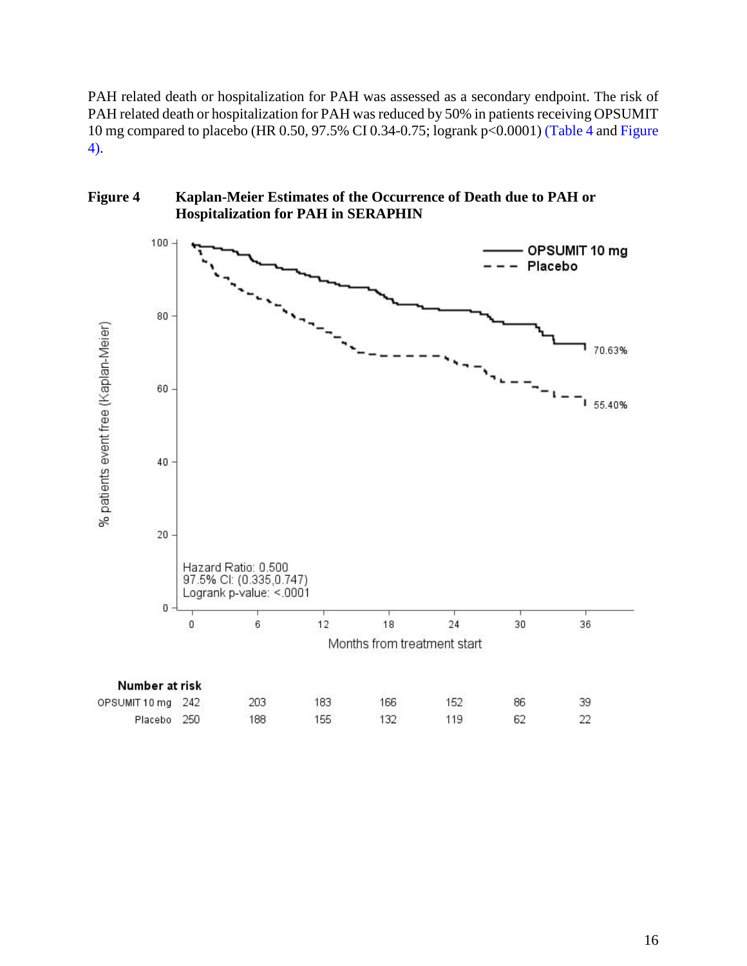PAH related death or hospitalization for PAH was assessed as a secondary endpoint. The risk of PAH related death or hospitalization for PAH was reduced by 50% in patients receiving OPSUMIT 10 mg compared to placebo (HR 0.50, 97.5% CI 0.34-0.75; logrank p<0.0001) [\(Table 4](#page-16-2) and [Figure](#page-15-0)  [4\)](#page-15-0).

<span id="page-15-0"></span>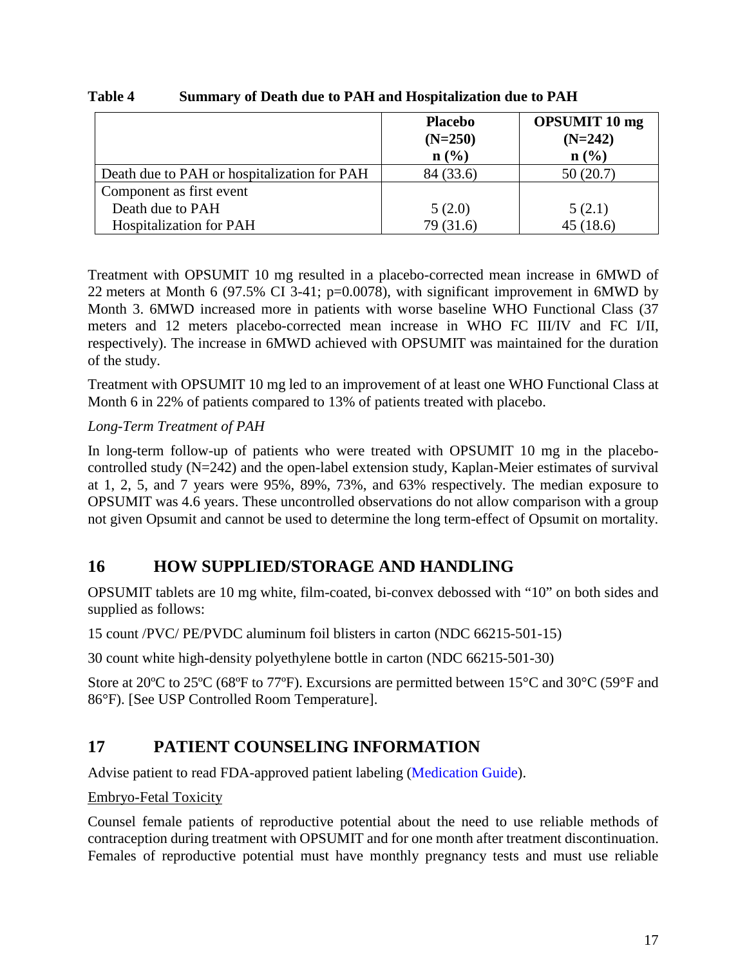|                                             | <b>Placebo</b><br>$(N=250)$<br>n(%) | <b>OPSUMIT 10 mg</b><br>$(N=242)$<br>$n\left(\frac{0}{0}\right)$ |
|---------------------------------------------|-------------------------------------|------------------------------------------------------------------|
| Death due to PAH or hospitalization for PAH | 84 (33.6)                           | 50(20.7)                                                         |
| Component as first event                    |                                     |                                                                  |
| Death due to PAH                            | 5(2.0)                              | 5(2.1)                                                           |
| <b>Hospitalization for PAH</b>              | 79 (31.6)                           | 45 (18.6)                                                        |

### <span id="page-16-2"></span>**Table 4 Summary of Death due to PAH and Hospitalization due to PAH**

Treatment with OPSUMIT 10 mg resulted in a placebo-corrected mean increase in 6MWD of 22 meters at Month 6 (97.5% CI 3-41; p=0.0078), with significant improvement in 6MWD by Month 3. 6MWD increased more in patients with worse baseline WHO Functional Class (37 meters and 12 meters placebo-corrected mean increase in WHO FC III/IV and FC I/II, respectively). The increase in 6MWD achieved with OPSUMIT was maintained for the duration of the study.

Treatment with OPSUMIT 10 mg led to an improvement of at least one WHO Functional Class at Month 6 in 22% of patients compared to 13% of patients treated with placebo.

### *Long-Term Treatment of PAH*

In long-term follow-up of patients who were treated with OPSUMIT 10 mg in the placebocontrolled study (N=242) and the open-label extension study, Kaplan-Meier estimates of survival at 1, 2, 5, and 7 years were 95%, 89%, 73%, and 63% respectively. The median exposure to OPSUMIT was 4.6 years. These uncontrolled observations do not allow comparison with a group not given Opsumit and cannot be used to determine the long term-effect of Opsumit on mortality.

## <span id="page-16-0"></span>**16 HOW SUPPLIED/STORAGE AND HANDLING**

OPSUMIT tablets are 10 mg white, film-coated, bi-convex debossed with "10" on both sides and supplied as follows:

15 count /PVC/ PE/PVDC aluminum foil blisters in carton (NDC 66215-501-15)

30 count white high-density polyethylene bottle in carton (NDC 66215-501-30)

Store at 20ºC to 25ºC (68ºF to 77ºF). Excursions are permitted between 15°C and 30°C (59°F and 86°F). [See USP Controlled Room Temperature].

## <span id="page-16-1"></span>**17 PATIENT COUNSELING INFORMATION**

Advise patient to read FDA-approved patient labeling (Medication Guide).

Embryo-Fetal Toxicity

Counsel female patients of reproductive potential about the need to use reliable methods of contraception during treatment with OPSUMIT and for one month after treatment discontinuation. Females of reproductive potential must have monthly pregnancy tests and must use reliable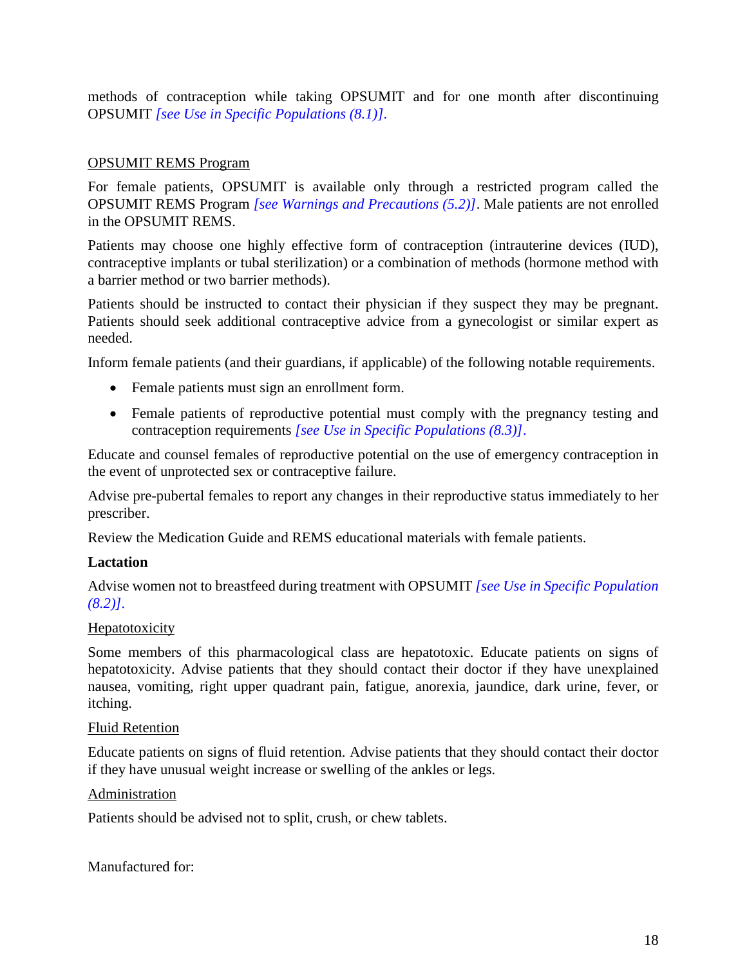<span id="page-17-0"></span>methods of contraception while taking OPSUMIT and for one month after discontinuing OPSUMIT *[\[see Use in Specific Populations \(8.1\)\].](#page-6-2)*

### OPSUMIT REMS Program

For female patients, OPSUMIT is available only through a restricted program called the OPSUMIT REMS Program *[\[see Warnings and Precautions \(5.2\)\]](#page-2-8)*. Male patients are not enrolled in the OPSUMIT REMS.

Patients may choose one highly effective form of contraception (intrauterine devices (IUD), contraceptive implants or tubal sterilization) or a combination of methods (hormone method with a barrier method or two barrier methods).

Patients should be instructed to contact their physician if they suspect they may be pregnant. Patients should seek additional contraceptive advice from a gynecologist or similar expert as needed.

Inform female patients (and their guardians, if applicable) of the following notable requirements.

- Female patients must sign an enrollment form.
- Female patients of reproductive potential must comply with the pregnancy testing and contraception requirements *[\[see Use in Specific Populations \(8.3\)\]](#page-6-3)*.

Educate and counsel females of reproductive potential on the use of emergency contraception in the event of unprotected sex or contraceptive failure.

Advise pre-pubertal females to report any changes in their reproductive status immediately to her prescriber.

Review the Medication Guide and REMS educational materials with female patients.

### **Lactation**

Advise women not to breastfeed during treatment with OPSUMIT *[\[see Use in Specific Population](#page-6-4) [\(8.2\)\].](#page-6-4)*

### **Hepatotoxicity**

Some members of this pharmacological class are hepatotoxic. Educate patients on signs of hepatotoxicity. Advise patients that they should contact their doctor if they have unexplained nausea, vomiting, right upper quadrant pain, fatigue, anorexia, jaundice, dark urine, fever, or itching.

#### Fluid Retention

Educate patients on signs of fluid retention. Advise patients that they should contact their doctor if they have unusual weight increase or swelling of the ankles or legs.

#### Administration

Patients should be advised not to split, crush, or chew tablets.

Manufactured for: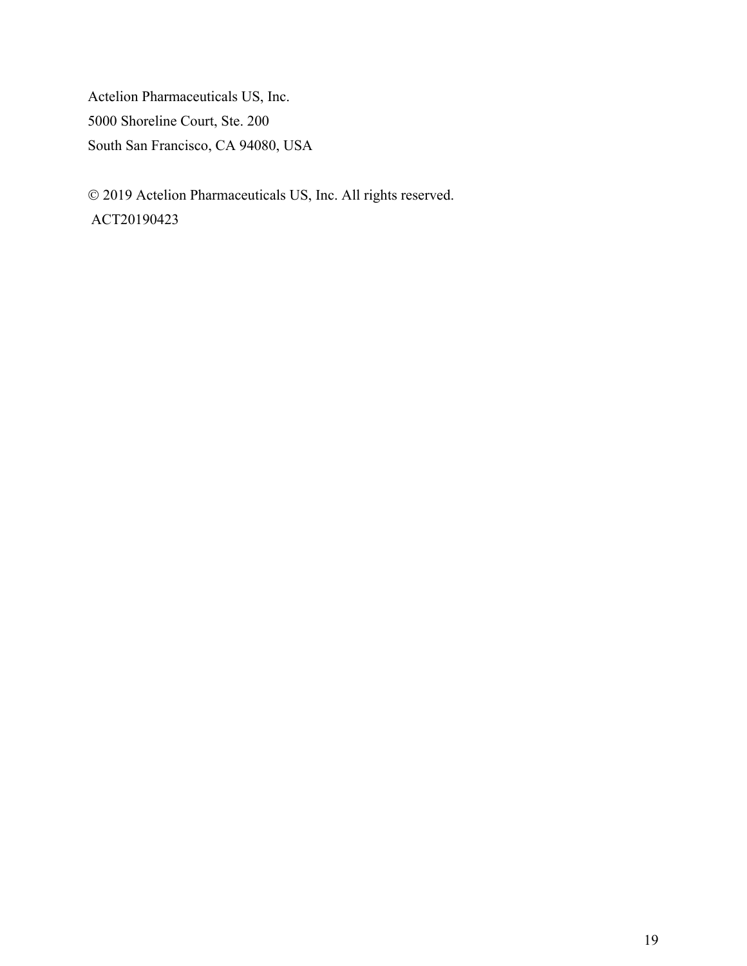Actelion Pharmaceuticals US, Inc. 5000 Shoreline Court, Ste. 200 South San Francisco, CA 94080, USA

 2019 Actelion Pharmaceuticals US, Inc. All rights reserved. ACT20190423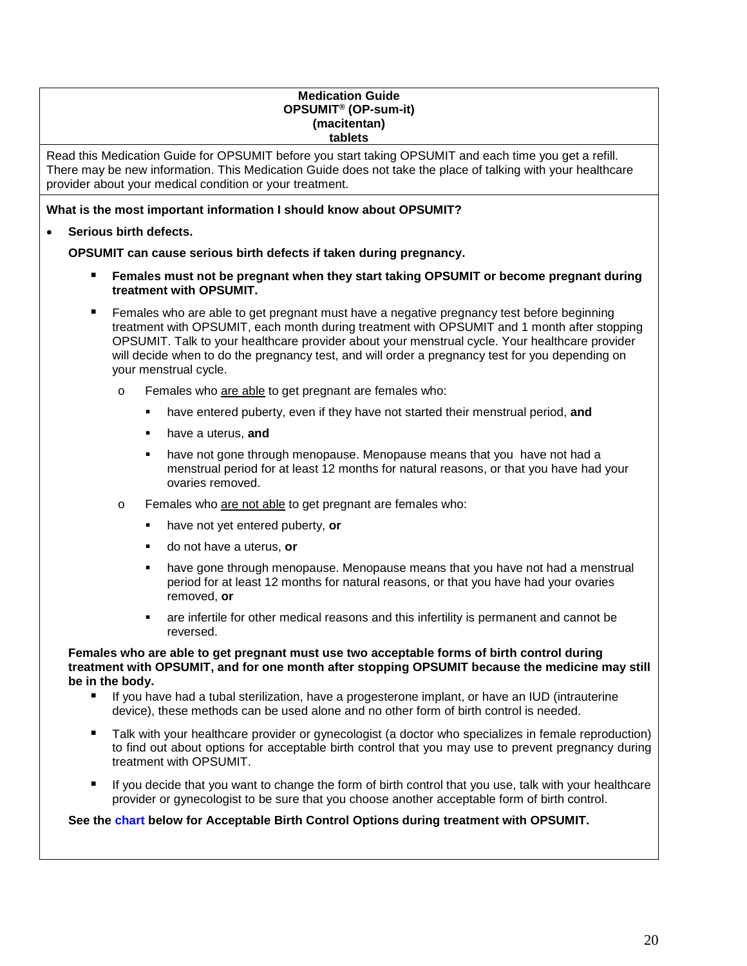#### **Medication Guide OPSUMIT® (OP-sum-it) (macitentan) tablets**

<span id="page-19-0"></span>Read this Medication Guide for OPSUMIT before you start taking OPSUMIT and each time you get a refill. There may be new information. This Medication Guide does not take the place of talking with your healthcare provider about your medical condition or your treatment.

#### **What is the most important information I should know about OPSUMIT?**

#### • **Serious birth defects.**

**OPSUMIT can cause serious birth defects if taken during pregnancy.** 

- **Females must not be pregnant when they start taking OPSUMIT or become pregnant during treatment with OPSUMIT.**
- **Females who are able to get pregnant must have a negative pregnancy test before beginning** treatment with OPSUMIT, each month during treatment with OPSUMIT and 1 month after stopping OPSUMIT. Talk to your healthcare provider about your menstrual cycle. Your healthcare provider will decide when to do the pregnancy test, and will order a pregnancy test for you depending on your menstrual cycle.
	- o Females who are able to get pregnant are females who:
		- have entered puberty, even if they have not started their menstrual period, **and**
		- have a uterus, **and**
		- have not gone through menopause. Menopause means that you have not had a menstrual period for at least 12 months for natural reasons, or that you have had your ovaries removed.
	- o Females who are not able to get pregnant are females who:
		- have not yet entered puberty, **or**
		- do not have a uterus, **or**
		- have gone through menopause. Menopause means that you have not had a menstrual period for at least 12 months for natural reasons, or that you have had your ovaries removed, **or**
		- are infertile for other medical reasons and this infertility is permanent and cannot be reversed.

#### **Females who are able to get pregnant must use two acceptable forms of birth control during treatment with OPSUMIT, and for one month after stopping OPSUMIT because the medicine may still be in the body.**

- If you have had a tubal sterilization, have a progesterone implant, or have an IUD (intrauterine device), these methods can be used alone and no other form of birth control is needed.
- Talk with your healthcare provider or gynecologist (a doctor who specializes in female reproduction) to find out about options for acceptable birth control that you may use to prevent pregnancy during treatment with OPSUMIT.
- If you decide that you want to change the form of birth control that you use, talk with your healthcare provider or gynecologist to be sure that you choose another acceptable form of birth control.

#### **See the [chart](#page-20-0) below for Acceptable Birth Control Options during treatment with OPSUMIT.**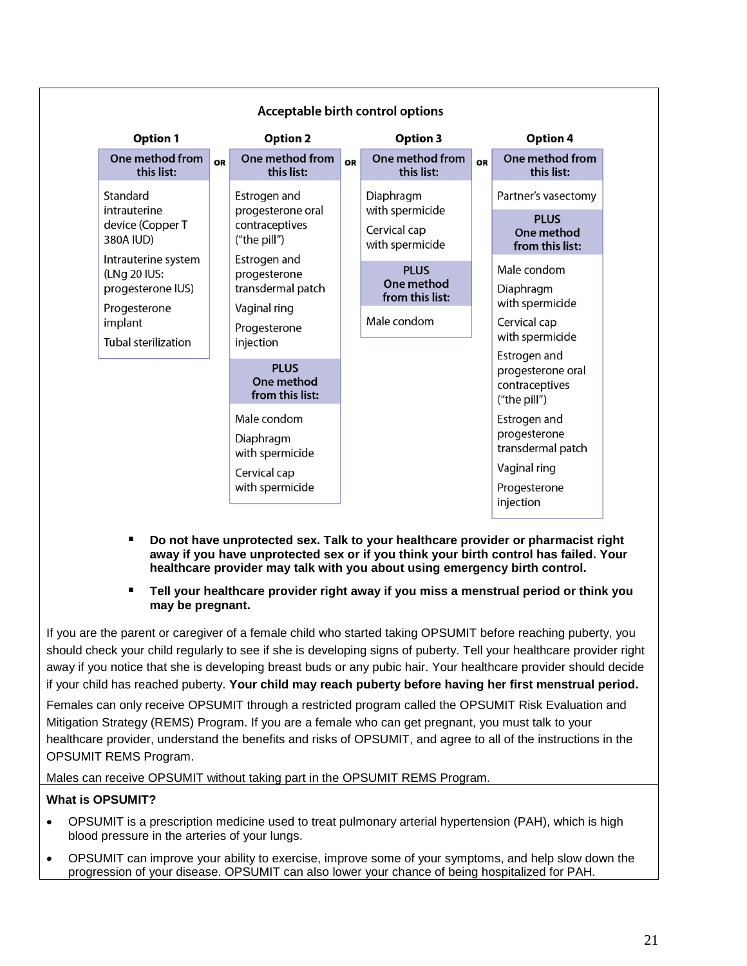<span id="page-20-0"></span>

| <b>Option 1</b>                                                                                                   |    | <b>Option 2</b>                                                                                |    | <b>Option 3</b>                                                 |           | Option 4                                                                                       |
|-------------------------------------------------------------------------------------------------------------------|----|------------------------------------------------------------------------------------------------|----|-----------------------------------------------------------------|-----------|------------------------------------------------------------------------------------------------|
| One method from<br>this list:                                                                                     | OR | One method from<br>this list:                                                                  | OR | One method from<br>this list:                                   | <b>OR</b> | One method from<br>this list:                                                                  |
| Standard<br>intrauterine<br>device (Copper T<br>380A IUD)                                                         |    | Estrogen and<br>progesterone oral<br>contraceptives<br>("the pill")                            |    | Diaphragm<br>with spermicide<br>Cervical cap<br>with spermicide |           | Partner's vasectomy<br><b>PLUS</b><br>One method<br>from this list:                            |
| Intrauterine system<br>(LNg 20 IUS:<br>progesterone IUS)<br>Progesterone<br>implant<br><b>Tubal sterilization</b> |    | Estrogen and<br>progesterone<br>transdermal patch<br>Vaginal ring<br>Progesterone<br>injection |    | <b>PLUS</b><br>One method<br>from this list:<br>Male condom     |           | Male condom<br>Diaphragm<br>with spermicide<br>Cervical cap<br>with spermicide<br>Estrogen and |
|                                                                                                                   |    | <b>PLUS</b><br>One method<br>from this list:                                                   |    |                                                                 |           | progesterone oral<br>contraceptives<br>("the pill")                                            |
|                                                                                                                   |    | Male condom<br>Diaphragm<br>with spermicide<br>Cervical cap<br>with spermicide                 |    |                                                                 |           | Estrogen and<br>progesterone<br>transdermal patch<br>Vaginal ring<br>Progesterone<br>injection |

- **Do not have unprotected sex. Talk to your healthcare provider or pharmacist right away if you have unprotected sex or if you think your birth control has failed. Your healthcare provider may talk with you about using emergency birth control.**
- **Tell your healthcare provider right away if you miss a menstrual period or think you may be pregnant.**

If you are the parent or caregiver of a female child who started taking OPSUMIT before reaching puberty, you should check your child regularly to see if she is developing signs of puberty. Tell your healthcare provider right away if you notice that she is developing breast buds or any pubic hair. Your healthcare provider should decide if your child has reached puberty. **Your child may reach puberty before having her first menstrual period.** 

Females can only receive OPSUMIT through a restricted program called the OPSUMIT Risk Evaluation and Mitigation Strategy (REMS) Program. If you are a female who can get pregnant, you must talk to your healthcare provider, understand the benefits and risks of OPSUMIT, and agree to all of the instructions in the OPSUMIT REMS Program.

Males can receive OPSUMIT without taking part in the OPSUMIT REMS Program.

#### **What is OPSUMIT?**

- OPSUMIT is a prescription medicine used to treat pulmonary arterial hypertension (PAH), which is high blood pressure in the arteries of your lungs.
- OPSUMIT can improve your ability to exercise, improve some of your symptoms, and help slow down the progression of your disease. OPSUMIT can also lower your chance of being hospitalized for PAH.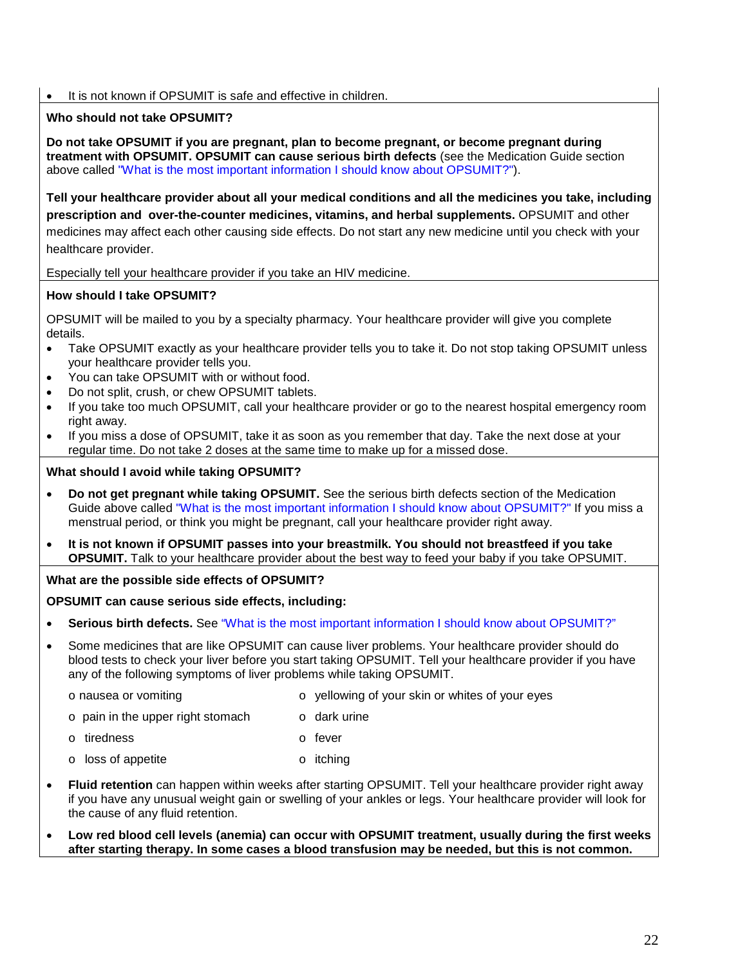• It is not known if OPSUMIT is safe and effective in children.

#### **Who should not take OPSUMIT?**

**Do not take OPSUMIT if you are pregnant, plan to become pregnant, or become pregnant during treatment with OPSUMIT. OPSUMIT can cause serious birth defects** (see the Medication Guide section above called ["What is the most important information I should know about OPSUMIT?"\)](#page-19-0).

**Tell your healthcare provider about all your medical conditions and all the medicines you take, including prescription and over-the-counter medicines, vitamins, and herbal supplements.** OPSUMIT and other medicines may affect each other causing side effects. Do not start any new medicine until you check with your healthcare provider.

Especially tell your healthcare provider if you take an HIV medicine.

#### **How should I take OPSUMIT?**

OPSUMIT will be mailed to you by a specialty pharmacy. Your healthcare provider will give you complete details.

- Take OPSUMIT exactly as your healthcare provider tells you to take it. Do not stop taking OPSUMIT unless your healthcare provider tells you.
- You can take OPSUMIT with or without food.
- Do not split, crush, or chew OPSUMIT tablets.
- If you take too much OPSUMIT, call your healthcare provider or go to the nearest hospital emergency room right away.
- If you miss a dose of OPSUMIT, take it as soon as you remember that day. Take the next dose at your regular time. Do not take 2 doses at the same time to make up for a missed dose.

#### **What should I avoid while taking OPSUMIT?**

- **Do not get pregnant while taking OPSUMIT.** See the serious birth defects section of the Medication Guide above called ["What is the most important information I should know about OPSUMIT?"](#page-19-0) If you miss a menstrual period, or think you might be pregnant, call your healthcare provider right away.
- **It is not known if OPSUMIT passes into your breastmilk. You should not breastfeed if you take OPSUMIT.** Talk to your healthcare provider about the best way to feed your baby if you take OPSUMIT.

#### **What are the possible side effects of OPSUMIT?**

#### **OPSUMIT can cause serious side effects, including:**

- **Serious birth defects.** See ["What is the most important information I should know about OPSUMIT?"](#page-19-0)
- Some medicines that are like OPSUMIT can cause liver problems. Your healthcare provider should do blood tests to check your liver before you start taking OPSUMIT. Tell your healthcare provider if you have any of the following symptoms of liver problems while taking OPSUMIT.
	- o nausea or vomiting o yellowing of your skin or whites of your eyes
	- o pain in the upper right stomach o dark urine
	- o tiredness o fever
	- o loss of appetite o itching
- **Fluid retention** can happen within weeks after starting OPSUMIT. Tell your healthcare provider right away if you have any unusual weight gain or swelling of your ankles or legs. Your healthcare provider will look for the cause of any fluid retention.
- **Low red blood cell levels (anemia) can occur with OPSUMIT treatment, usually during the first weeks after starting therapy. In some cases a blood transfusion may be needed, but this is not common.**